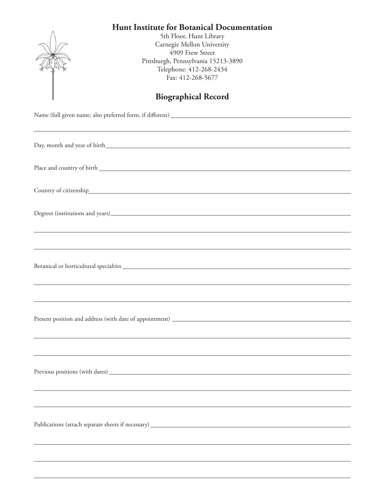## **Hunt Institute for Botanical Documentation**



5th Floor, Hunt Library Carnegie Mellon University 4909 Frew Street Pittsburgh, Pennsylvania 15213-3890 Telephone: 412-268-2434 Fax: 412-268-5677

## **Biographical Record**

Name (full given name; also preferred form, if different)

| Degrees (institutions and years). The contract of the contract of the contract of the contract of the contract of the contract of the contract of the contract of the contract of the contract of the contract of the contract |
|--------------------------------------------------------------------------------------------------------------------------------------------------------------------------------------------------------------------------------|
| <u> 1989 - Johann Stoff, amerikansk politiker (d. 1989)</u>                                                                                                                                                                    |
| and the control of the control of the control of the control of the control of the control of the control of the                                                                                                               |
|                                                                                                                                                                                                                                |
| ,我们也不会有什么。""我们的人,我们也不会有什么?""我们的人,我们也不会有什么?""我们的人,我们也不会有什么?""我们的人,我们也不会有什么?""我们的人                                                                                                                                               |
|                                                                                                                                                                                                                                |
|                                                                                                                                                                                                                                |
|                                                                                                                                                                                                                                |
| ,我们也不会有什么。""我们的人,我们也不会有什么?""我们的人,我们也不会有什么?""我们的人,我们也不会有什么?""我们的人,我们也不会有什么?""我们的人                                                                                                                                               |
|                                                                                                                                                                                                                                |
|                                                                                                                                                                                                                                |
|                                                                                                                                                                                                                                |
|                                                                                                                                                                                                                                |
| Publications (attach separate sheets if necessary) ______________________________                                                                                                                                              |
|                                                                                                                                                                                                                                |
|                                                                                                                                                                                                                                |